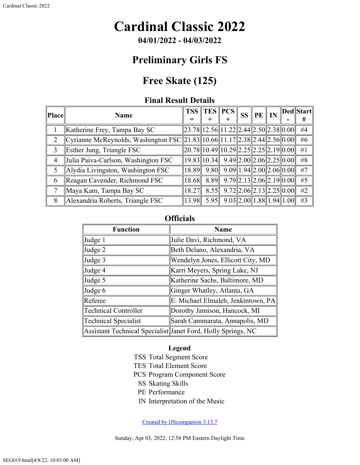# **Cardinal Classic 2022**

**04/01/2022 - 04/03/2022**

### **Preliminary Girls FS**

## **Free Skate (125)**

#### **Final Result Details**

| <b>Place</b>   | <b>Name</b>                                                               |       | $TSS$   TES   PCS                                    |                                 | <b>SS</b> | $PE \parallel IN$ |  | Ded  Start |
|----------------|---------------------------------------------------------------------------|-------|------------------------------------------------------|---------------------------------|-----------|-------------------|--|------------|
|                |                                                                           |       | $\pm$                                                | +                               |           |                   |  | #          |
|                | Katherine Frey, Tampa Bay SC                                              |       | $\ 23.78\ 12.56\ 11.22\ 2.44\ 2.50\ 2.38\ 0.00\ $    |                                 |           |                   |  | #4         |
| 2              | Cyrianne McReynolds, Washington FSC 21.83 10.66 11.17 2.38 2.44 2.56 0.00 |       |                                                      |                                 |           |                   |  | #6         |
| 3              | Esther Jung, Triangle FSC                                                 |       | $\ 20.78\ 10.49\ 10.29\ 2.25\ 2.25\ 2.19\ 0.00\ $    |                                 |           |                   |  | #1         |
| $\overline{4}$ | Julia Paiva-Carlson, Washington FSC                                       |       | $\ 19.83\ 10.34\ $ 9.49 $\ 2.00\ 2.06\ 2.25\ 0.00\ $ |                                 |           |                   |  | #8         |
| 5              | Alydia Livingston, Washington FSC                                         | 18.89 | 9.80                                                 | $9.09$   1.94  2.00  2.06  0.00 |           |                   |  | #7         |
| 6              | Reagan Cavender, Richmond FSC                                             | 18.68 | 8.89                                                 | $9.79$   2.13  2.06  2.19  0.00 |           |                   |  | #5         |
|                | Maya Kam, Tampa Bay SC                                                    | 18.27 | 8.55                                                 | $9.72$   2.06  2.13  2.25  0.00 |           |                   |  | #2         |
| 8              | Alexandria Roberts, Triangle FSC                                          | 13.98 | 5.95                                                 | $9.03$   2.00  1.88  1.94  1.00 |           |                   |  | #3         |

### **Officials**

| <b>Function</b>             | <b>Name</b>                                                  |  |  |  |  |
|-----------------------------|--------------------------------------------------------------|--|--|--|--|
| Judge 1                     | Julie Davi, Richmond, VA                                     |  |  |  |  |
| Judge 2                     | Beth Delano, Alexandria, VA                                  |  |  |  |  |
| Judge 3                     | Wendelyn Jones, Ellicott City, MD                            |  |  |  |  |
| Judge 4                     | Karri Meyers, Spring Lake, NJ                                |  |  |  |  |
| Judge 5                     | Katherine Sachs, Baltimore, MD                               |  |  |  |  |
| Judge 6                     | Ginger Whatley, Atlanta, GA                                  |  |  |  |  |
| Referee                     | E. Michael Elmaleh, Jenkintown, PA                           |  |  |  |  |
| <b>Technical Controller</b> | Dorothy Jamison, Hancock, MI                                 |  |  |  |  |
| <b>Technical Specialist</b> | Sarah Cammarata, Annapolis, MD                               |  |  |  |  |
|                             | Assistant Technical Specialist Janet Ford, Holly Springs, NC |  |  |  |  |

#### **Legend**

- TSS Total Segment Score
- TES Total Element Score
- PCS Program Component Score
	- SS Skating Skills
	- PE Performance
	- IN Interpretation of the Music

[Created by IJScompanion 3.13.7](http://www.usfigureskating.org/)